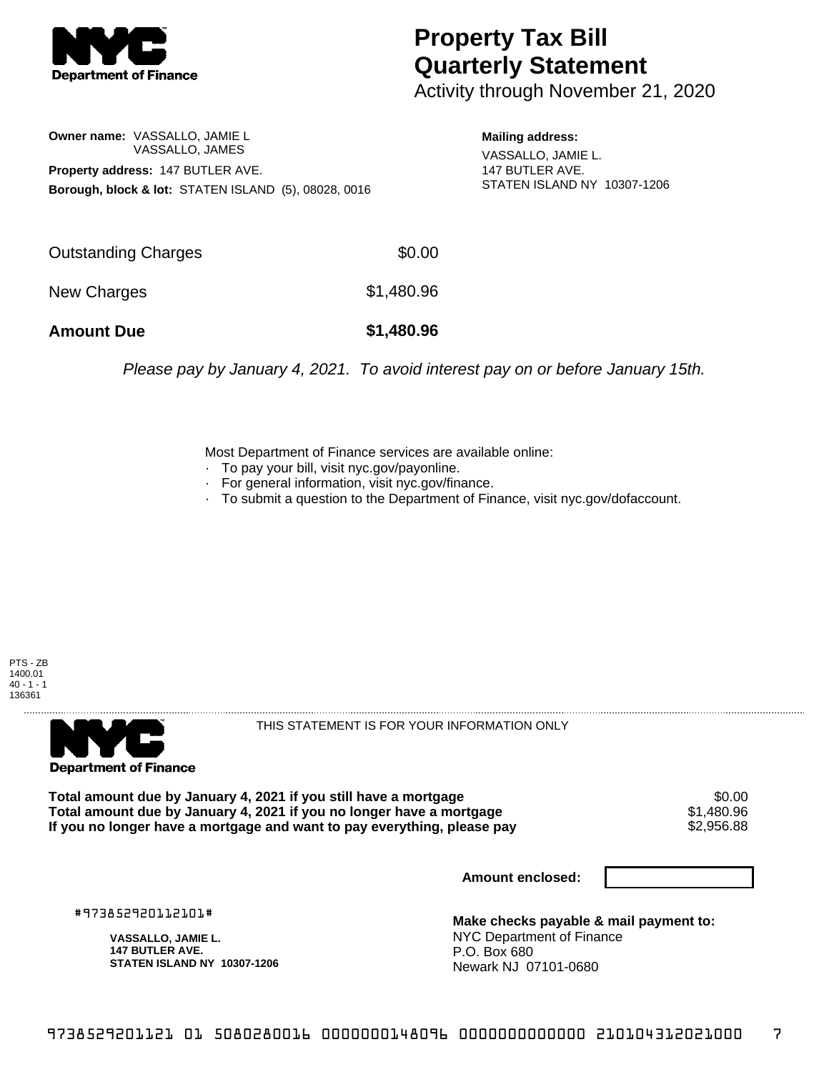

## **Property Tax Bill Quarterly Statement**

Activity through November 21, 2020

## **Owner name:** VASSALLO, JAMIE L VASSALLO, JAMES **Property address:** 147 BUTLER AVE. **Borough, block & lot:** STATEN ISLAND (5), 08028, 0016

**Mailing address:** VASSALLO, JAMIE L. 147 BUTLER AVE. STATEN ISLAND NY 10307-1206

| <b>Amount Due</b>   | \$1,480.96 |
|---------------------|------------|
| New Charges         | \$1,480.96 |
| Outstanding Charges | \$0.00     |

Please pay by January 4, 2021. To avoid interest pay on or before January 15th.

Most Department of Finance services are available online:

- · To pay your bill, visit nyc.gov/payonline.
- For general information, visit nyc.gov/finance.
- · To submit a question to the Department of Finance, visit nyc.gov/dofaccount.





THIS STATEMENT IS FOR YOUR INFORMATION ONLY

Total amount due by January 4, 2021 if you still have a mortgage \$0.00<br>Total amount due by January 4, 2021 if you no longer have a mortgage \$1.480.96 **Total amount due by January 4, 2021 if you no longer have a mortgage**  $$1,480.96$ **<br>If you no longer have a mortgage and want to pay everything, please pay**  $$2,956.88$ If you no longer have a mortgage and want to pay everything, please pay

**Amount enclosed:**

#973852920112101#

**VASSALLO, JAMIE L. 147 BUTLER AVE. STATEN ISLAND NY 10307-1206**

**Make checks payable & mail payment to:** NYC Department of Finance P.O. Box 680 Newark NJ 07101-0680